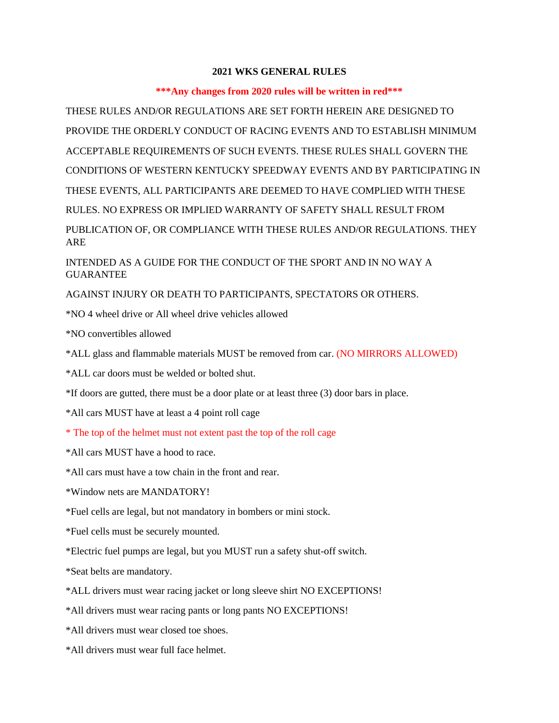## **2021 WKS GENERAL RULES**

## **\*\*\*Any changes from 2020 rules will be written in red\*\*\***

THESE RULES AND/OR REGULATIONS ARE SET FORTH HEREIN ARE DESIGNED TO PROVIDE THE ORDERLY CONDUCT OF RACING EVENTS AND TO ESTABLISH MINIMUM ACCEPTABLE REQUIREMENTS OF SUCH EVENTS. THESE RULES SHALL GOVERN THE CONDITIONS OF WESTERN KENTUCKY SPEEDWAY EVENTS AND BY PARTICIPATING IN THESE EVENTS, ALL PARTICIPANTS ARE DEEMED TO HAVE COMPLIED WITH THESE RULES. NO EXPRESS OR IMPLIED WARRANTY OF SAFETY SHALL RESULT FROM PUBLICATION OF, OR COMPLIANCE WITH THESE RULES AND/OR REGULATIONS. THEY ARE

INTENDED AS A GUIDE FOR THE CONDUCT OF THE SPORT AND IN NO WAY A **GUARANTEE** 

AGAINST INJURY OR DEATH TO PARTICIPANTS, SPECTATORS OR OTHERS.

\*NO 4 wheel drive or All wheel drive vehicles allowed

\*NO convertibles allowed

\*ALL glass and flammable materials MUST be removed from car. (NO MIRRORS ALLOWED)

\*ALL car doors must be welded or bolted shut.

\*If doors are gutted, there must be a door plate or at least three (3) door bars in place.

\*All cars MUST have at least a 4 point roll cage

\* The top of the helmet must not extent past the top of the roll cage

\*All cars MUST have a hood to race.

\*All cars must have a tow chain in the front and rear.

\*Window nets are MANDATORY!

\*Fuel cells are legal, but not mandatory in bombers or mini stock.

\*Fuel cells must be securely mounted.

\*Electric fuel pumps are legal, but you MUST run a safety shut-off switch.

\*Seat belts are mandatory.

\*ALL drivers must wear racing jacket or long sleeve shirt NO EXCEPTIONS!

\*All drivers must wear racing pants or long pants NO EXCEPTIONS!

\*All drivers must wear closed toe shoes.

\*All drivers must wear full face helmet.